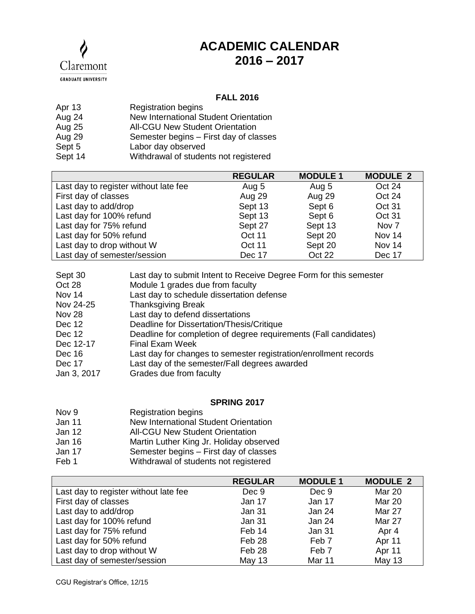

## **ACADEMIC CALENDAR 2016 – 2017**

## **FALL 2016**

| Apr 13  | <b>Registration begins</b>             |
|---------|----------------------------------------|
| Aug 24  | New International Student Orientation  |
| Aug 25  | <b>All-CGU New Student Orientation</b> |
| Aug 29  | Semester begins - First day of classes |
| Sept 5  | Labor day observed                     |
| Sept 14 | Withdrawal of students not registered  |

|                                       | <b>REGULAR</b> | <b>MODULE 1</b> | <b>MODULE 2</b> |
|---------------------------------------|----------------|-----------------|-----------------|
| Last day to register without late fee | Aug 5          | Aug 5           | Oct 24          |
| First day of classes                  | Aug 29         | Aug 29          | Oct 24          |
| Last day to add/drop                  | Sept 13        | Sept 6          | Oct 31          |
| Last day for 100% refund              | Sept 13        | Sept 6          | Oct 31          |
| Last day for 75% refund               | Sept 27        | Sept 13         | Nov 7           |
| Last day for 50% refund               | Oct 11         | Sept 20         | Nov 14          |
| Last day to drop without W            | <b>Oct 11</b>  | Sept 20         | Nov 14          |
| Last day of semester/session          | Dec 17         | Oct 22          | Dec 17          |

| Sept 30       | Last day to submit Intent to Receive Degree Form for this semester |
|---------------|--------------------------------------------------------------------|
| Oct 28        | Module 1 grades due from faculty                                   |
| Nov 14        | Last day to schedule dissertation defense                          |
| Nov 24-25     | <b>Thanksgiving Break</b>                                          |
| <b>Nov 28</b> | Last day to defend dissertations                                   |
| Dec 12        | Deadline for Dissertation/Thesis/Critique                          |
| Dec 12        | Deadline for completion of degree requirements (Fall candidates)   |
| Dec 12-17     | <b>Final Exam Week</b>                                             |
| Dec 16        | Last day for changes to semester registration/enrollment records   |
| Dec 17        | Last day of the semester/Fall degrees awarded                      |
| Jan 3, 2017   | Grades due from faculty                                            |
|               |                                                                    |

## **SPRING 2017**

| Nov 9  | <b>Registration begins</b>              |
|--------|-----------------------------------------|
| Jan 11 | New International Student Orientation   |
| Jan 12 | <b>All-CGU New Student Orientation</b>  |
| Jan 16 | Martin Luther King Jr. Holiday observed |
| Jan 17 | Semester begins - First day of classes  |
| Feb 1  | Withdrawal of students not registered   |

|                                       | <b>REGULAR</b> | <b>MODULE 1</b> | <b>MODULE 2</b> |
|---------------------------------------|----------------|-----------------|-----------------|
| Last day to register without late fee | Dec 9          | Dec 9           | <b>Mar 20</b>   |
| First day of classes                  | Jan 17         | Jan 17          | <b>Mar 20</b>   |
| Last day to add/drop                  | Jan 31         | Jan 24          | Mar 27          |
| Last day for 100% refund              | <b>Jan 31</b>  | Jan 24          | Mar 27          |
| Last day for 75% refund               | Feb 14         | Jan 31          | Apr 4           |
| Last day for 50% refund               | Feb 28         | Feb 7           | Apr 11          |
| Last day to drop without W            | Feb 28         | Feb 7           | Apr 11          |
| Last day of semester/session          | <b>May 13</b>  | Mar 11          | May 13          |